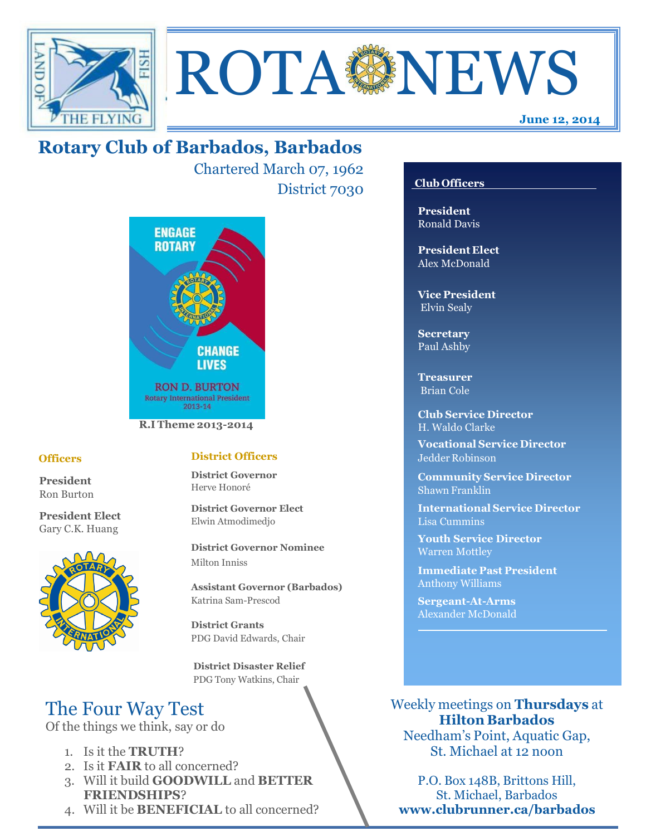



# **Rotary Club of Barbados, Barbados**

Chartered March 07, 1962 District 7030



#### **Officers**

**President** Ron Burton

**President Elect** Gary C.K. Huang



#### **District Officers**

**District Governor** Herve Honoré

**District Governor Elect** Elwin Atmodimedjo

**District Governor Nominee**  Milton Inniss

**Assistant Governor (Barbados)** Katrina Sam-Prescod

**District Grants**  PDG David Edwards, Chair

 **District Disaster Relief** PDG Tony Watkins, Chair

# The Four Way Test

Of the things we think, say or do

- 1. Is it the **TRUTH**?
- 2. Is it **FAIR** to all concerned?
- 3. Will it build **GOODWILL** and **BETTER FRIENDSHIPS**?
- 4. Will it be **BENEFICIAL** to all concerned?

### **Club Officers**

**President** Ronald Davis

**President Elect** Alex McDonald

**Vice President** Elvin Sealy

**Secretary** Paul Ashby

**Treasurer** Brian Cole

**Club Service Director** H. Waldo Clarke

**Vocational Service Director** Jedder Robinson

**Community Service Director** Shawn Franklin

**International Service Director** Lisa Cummins

**Youth Service Director** Warren Mottley

**Immediate Past President** Anthony Williams

**Sergeant-At-Arms** Alexander McDonald

Weekly meetings on **Thursdays** at **Hilton Barbados** Needham's Point, Aquatic Gap,

St. Michael at 12 noon

P.O. Box 148B, Brittons Hill, St. Michael, Barbados **www.clubrunner.ca/barbados**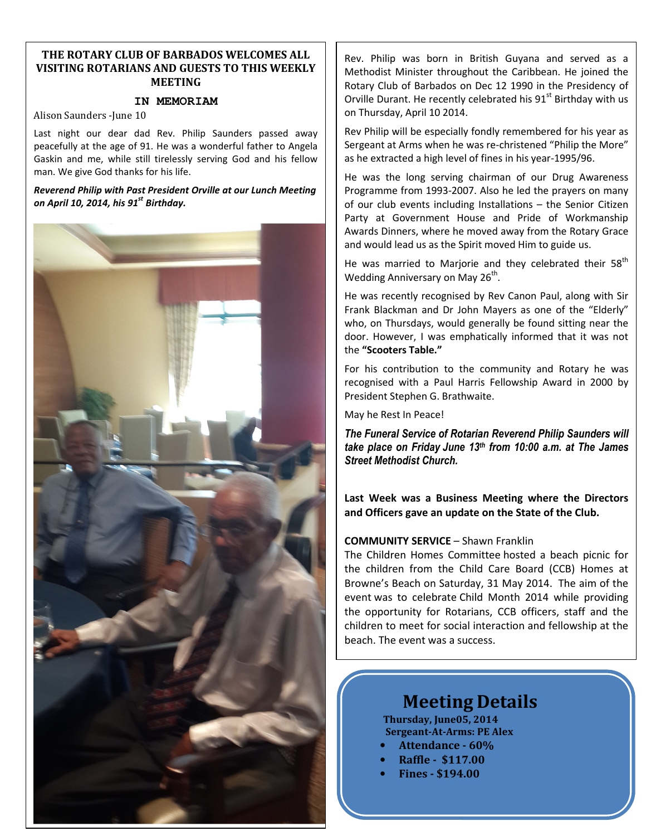#### **THE ROTARY CLUB OF BARBADOS WELCOMES ALL VISITING ROTARIANS AND GUESTS TO THIS WEEKLY MEETING**

### **IN MEMORIAM**

Alison Saunders -June 10

Last night our dear dad Rev. Philip Saunders passed away peacefully at the age of 91. He was a wonderful father to Angela Gaskin and me, while still tirelessly serving God and his fellow man. We give God thanks for his life.

*Reverend Philip with Past President Orville at our Lunch Meeting on April 10, 2014, his 91st Birthday.*



Rev. Philip was born in British Guyana and served as a Methodist Minister throughout the Caribbean. He joined the Rotary Club of Barbados on Dec 12 1990 in the Presidency of Orville Durant. He recently celebrated his 91<sup>st</sup> Birthday with us on Thursday, April 10 2014.

Rev Philip will be especially fondly remembered for his year as Sergeant at Arms when he was re-christened "Philip the More" as he extracted a high level of fines in his year-1995/96.

He was the long serving chairman of our Drug Awareness Programme from 1993-2007. Also he led the prayers on many of our club events including Installations – the Senior Citizen Party at Government House and Pride of Workmanship Awards Dinners, where he moved away from the Rotary Grace and would lead us as the Spirit moved Him to guide us.

He was married to Marjorie and they celebrated their 58<sup>th</sup> Wedding Anniversary on May 26<sup>th</sup>.

He was recently recognised by Rev Canon Paul, along with Sir Frank Blackman and Dr John Mayers as one of the "Elderly" who, on Thursdays, would generally be found sitting near the door. However, I was emphatically informed that it was not the **"Scooters Table."**

For his contribution to the community and Rotary he was recognised with a Paul Harris Fellowship Award in 2000 by President Stephen G. Brathwaite.

May he Rest In Peace!

*The Funeral Service of Rotarian Reverend Philip Saunders will take place on Friday June 13th from 10:00 a.m. at The James Street Methodist Church.* 

**Last Week was a Business Meeting where the Directors and Officers gave an update on the State of the Club.** 

#### **COMMUNITY SERVICE** – Shawn Franklin

The Children Homes Committee hosted a beach picnic for the children from the Child Care Board (CCB) Homes at Browne's Beach on Saturday, 31 May 2014. The aim of the event was to celebrate Child Month 2014 while providing the opportunity for Rotarians, CCB officers, staff and the children to meet for social interaction and fellowship at the beach. The event was a success.

# **Meeting Details**

**Thursday, June05, 2014 Sergeant-At-Arms: PE Alex** 

- **Attendance 60%**
- **Raffle \$117.00**
- **Fines \$194.00**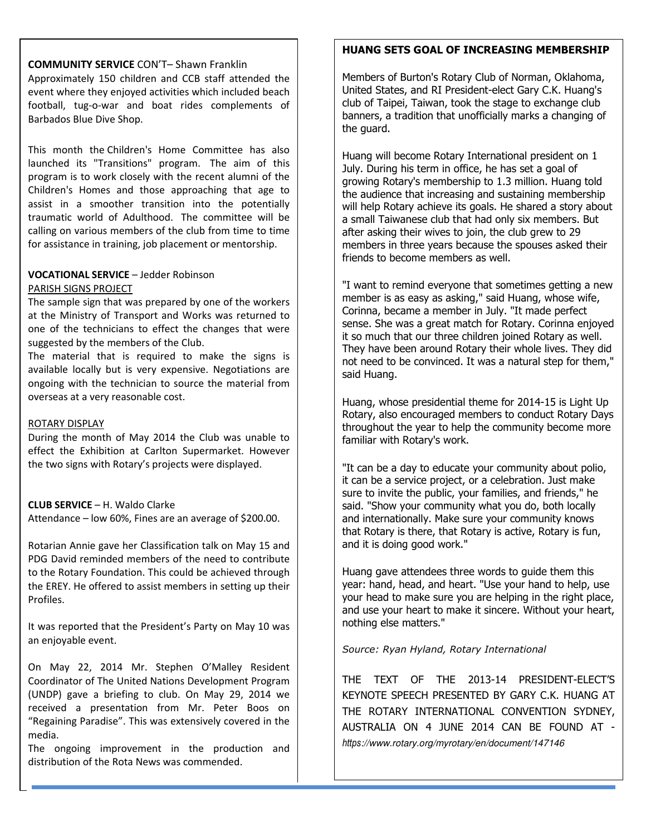#### **COMMUNITY SERVICE** CON'T– Shawn Franklin

event where they enjoyed activities which included beach Approximately 150 children and CCB staff attended the football, tug-o-war and boat rides complements of Barbados Blue Dive Shop.

This month the Children's Home Committee has also launched its "Transitions" program. The aim of this program is to work closely with the recent alumni of the Children's Homes and those approaching that age to assist in a smoother transition into the potentially traumatic world of Adulthood. The committee will be calling on various members of the club from time to time for assistance in training, job placement or mentorship.

# **VOCATIONAL SERVICE** – Jedder Robinson

#### PARISH SIGNS PROJECT

The sample sign that was prepared by one of the workers at the Ministry of Transport and Works was returned to one of the technicians to effect the changes that were suggested by the members of the Club.

The material that is required to make the signs is available locally but is very expensive. Negotiations are ongoing with the technician to source the material from overseas at a very reasonable cost.

#### ROTARY DISPLAY

During the month of May 2014 the Club was unable to effect the Exhibition at Carlton Supermarket. However the two signs with Rotary's projects were displayed.

#### **CLUB SERVICE** – H. Waldo Clarke

Attendance – low 60%, Fines are an average of \$200.00.

Rotarian Annie gave her Classification talk on May 15 and PDG David reminded members of the need to contribute to the Rotary Foundation. This could be achieved through the EREY. He offered to assist members in setting up their Profiles.

It was reported that the President's Party on May 10 was an enjoyable event.

On May 22, 2014 Mr. Stephen O'Malley Resident Coordinator of The United Nations Development Program (UNDP) gave a briefing to club. On May 29, 2014 we received a presentation from Mr. Peter Boos on "Regaining Paradise". This was extensively covered in the media.

The ongoing improvement in the production and distribution of the Rota News was commended.

#### **HUANG SETS GOAL OF INCREASING MEMBERSHIP**

Members of Burton's Rotary Club of Norman, Oklahoma, United States, and RI President-elect Gary C.K. Huang's club of Taipei, Taiwan, took the stage to exchange club banners, a tradition that unofficially marks a changing of the guard.

Huang will become Rotary International president on 1 July. During his term in office, he has set a goal of growing Rotary's membership to 1.3 million. Huang told the audience that increasing and sustaining membership will help Rotary achieve its goals. He shared a story about a small Taiwanese club that had only six members. But after asking their wives to join, the club grew to 29 members in three years because the spouses asked their friends to become members as well.

"I want to remind everyone that sometimes getting a new member is as easy as asking," said Huang, whose wife, Corinna, became a member in July. "It made perfect sense. She was a great match for Rotary. Corinna enjoyed it so much that our three children joined Rotary as well. They have been around Rotary their whole lives. They did not need to be convinced. It was a natural step for them," said Huang.

Huang, whose presidential theme for 2014-15 is Light Up Rotary, also encouraged members to conduct Rotary Days throughout the year to help the community become more familiar with Rotary's work.

"It can be a day to educate your community about polio, it can be a service project, or a celebration. Just make sure to invite the public, your families, and friends," he said. "Show your community what you do, both locally and internationally. Make sure your community knows that Rotary is there, that Rotary is active, Rotary is fun, and it is doing good work."

Huang gave attendees three words to guide them this year: hand, head, and heart. "Use your hand to help, use your head to make sure you are helping in the right place, and use your heart to make it sincere. Without your heart, nothing else matters."

#### *Source: Ryan Hyland, Rotary International*

THE TEXT OF THE 2013-14 PRESIDENT-ELECT'S KEYNOTE SPEECH PRESENTED BY GARY C.K. HUANG AT THE ROTARY INTERNATIONAL CONVENTION SYDNEY, AUSTRALIA ON 4 JUNE 2014 CAN BE FOUND AT *https://www.rotary.org/myrotary/en/document/147146*